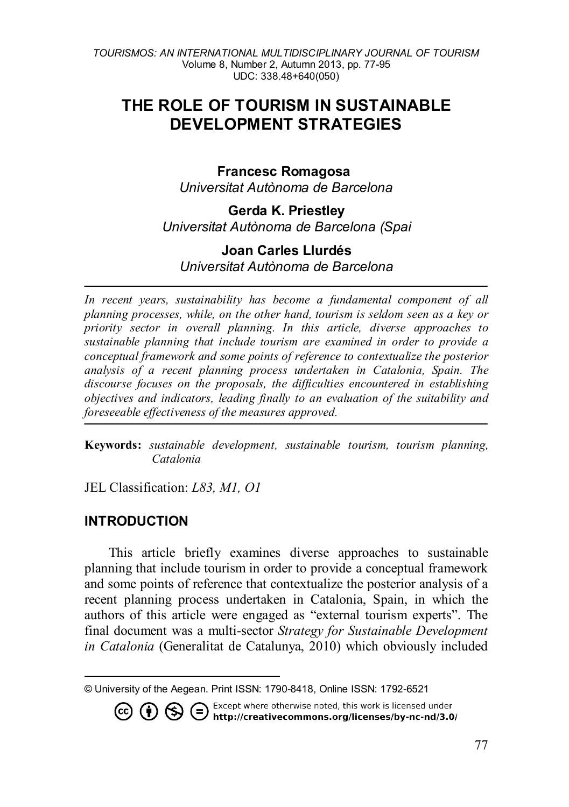# **THE ROLE OF TOURISM IN SUSTAINABLE DEVELOPMENT STRATEGIES**

#### **Francesc Romagosa**

*Universitat Autònoma de Barcelona* 

### **Gerda K. Priestley** *Universitat Autònoma de Barcelona (Spai*

## **Joan Carles Llurdés**

*Universitat Autònoma de Barcelona*

In recent years, sustainability has become a fundamental component of all *planning processes, while, on the other hand, tourism is seldom seen as a key or priority sector in overall planning. In this article, diverse approaches to sustainable planning that include tourism are examined in order to provide a conceptual framework and some points of reference to contextualize the posterior analysis of a recent planning process undertaken in Catalonia, Spain. The discourse focuses on the proposals, the difficulties encountered in establishing objectives and indicators, leading finally to an evaluation of the suitability and foreseeable effectiveness of the measures approved.* 

**Keywords:** *sustainable development, sustainable tourism, tourism planning, Catalonia*

JEL Classification: *L83, M1, O1*

#### **INTRODUCTION**

This article briefly examines diverse approaches to sustainable planning that include tourism in order to provide a conceptual framework and some points of reference that contextualize the posterior analysis of a recent planning process undertaken in Catalonia, Spain, in which the authors of this article were engaged as "external tourism experts". The final document was a multi-sector *Strategy for Sustainable Development in Catalonia* (Generalitat de Catalunya, 2010) which obviously included

<span id="page-0-0"></span><sup>-</sup>

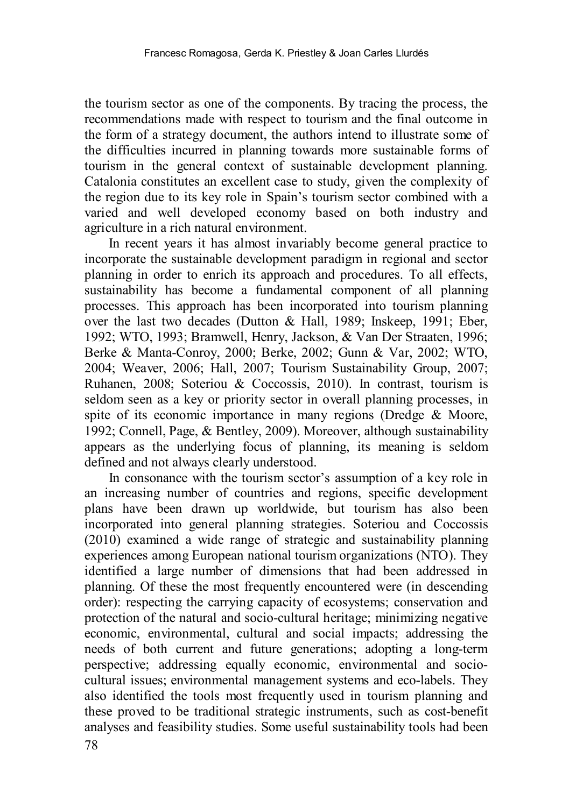the tourism sector as one of the components. By tracing the process, the recommendations made with respect to tourism and the final outcome in the form of a strategy document, the authors intend to illustrate some of the difficulties incurred in planning towards more sustainable forms of tourism in the general context of sustainable development planning. Catalonia constitutes an excellent case to study, given the complexity of the region due to its key role in Spain's tourism sector combined with a varied and well developed economy based on both industry and agriculture in a rich natural environment.

In recent years it has almost invariably become general practice to incorporate the sustainable development paradigm in regional and sector planning in order to enrich its approach and procedures. To all effects, sustainability has become a fundamental component of all planning processes. This approach has been incorporated into tourism planning over the last two decades (Dutton & Hall, 1989; Inskeep, 1991; Eber, 1992; WTO, 1993; Bramwell, Henry, Jackson, & Van Der Straaten, 1996; Berke & Manta-Conroy, 2000; Berke, 2002; Gunn & Var, 2002; WTO, 2004; Weaver, 2006; Hall, 2007; Tourism Sustainability Group, 2007; Ruhanen, 2008; Soteriou & Coccossis, 2010). In contrast, tourism is seldom seen as a key or priority sector in overall planning processes, in spite of its economic importance in many regions (Dredge & Moore, 1992; Connell, Page, & Bentley, 2009). Moreover, although sustainability appears as the underlying focus of planning, its meaning is seldom defined and not always clearly understood.

In consonance with the tourism sector's assumption of a key role in an increasing number of countries and regions, specific development plans have been drawn up worldwide, but tourism has also been incorporated into general planning strategies. Soteriou and Coccossis (2010) examined a wide range of strategic and sustainability planning experiences among European national tourism organizations (NTO). They identified a large number of dimensions that had been addressed in planning. Of these the most frequently encountered were (in descending order): respecting the carrying capacity of ecosystems; conservation and protection of the natural and socio-cultural heritage; minimizing negative economic, environmental, cultural and social impacts; addressing the needs of both current and future generations; adopting a long-term perspective; addressing equally economic, environmental and sociocultural issues; environmental management systems and eco-labels. They also identified the tools most frequently used in tourism planning and these proved to be traditional strategic instruments, such as cost-benefit analyses and feasibility studies. Some useful sustainability tools had been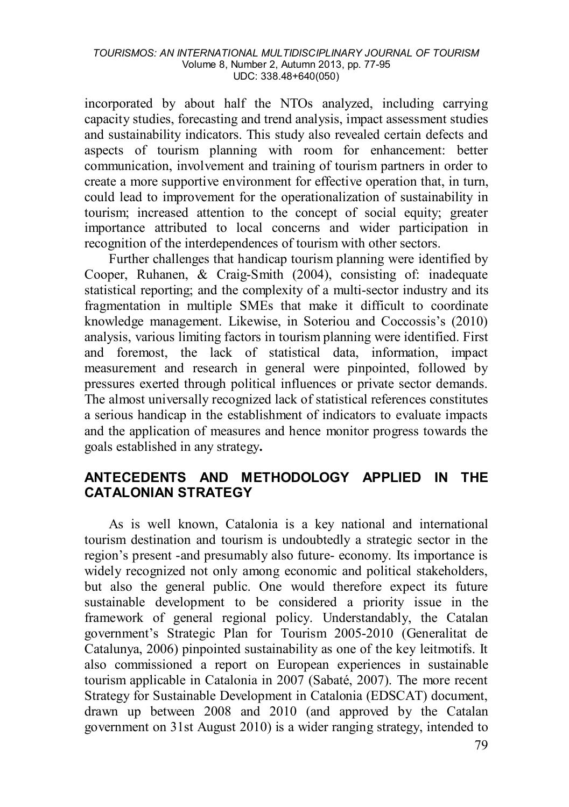incorporated by about half the NTOs analyzed, including carrying capacity studies, forecasting and trend analysis, impact assessment studies and sustainability indicators. This study also revealed certain defects and aspects of tourism planning with room for enhancement: better communication, involvement and training of tourism partners in order to create a more supportive environment for effective operation that, in turn, could lead to improvement for the operationalization of sustainability in tourism; increased attention to the concept of social equity; greater importance attributed to local concerns and wider participation in recognition of the interdependences of tourism with other sectors.

Further challenges that handicap tourism planning were identified by Cooper, Ruhanen, & Craig-Smith (2004), consisting of: inadequate statistical reporting; and the complexity of a multi-sector industry and its fragmentation in multiple SMEs that make it difficult to coordinate knowledge management. Likewise, in Soteriou and Coccossis's (2010) analysis, various limiting factors in tourism planning were identified. First and foremost, the lack of statistical data, information, impact measurement and research in general were pinpointed, followed by pressures exerted through political influences or private sector demands. The almost universally recognized lack of statistical references constitutes a serious handicap in the establishment of indicators to evaluate impacts and the application of measures and hence monitor progress towards the goals established in any strategy**.** 

#### **ANTECEDENTS AND METHODOLOGY APPLIED IN THE CATALONIAN STRATEGY**

As is well known, Catalonia is a key national and international tourism destination and tourism is undoubtedly a strategic sector in the region's present -and presumably also future- economy. Its importance is widely recognized not only among economic and political stakeholders, but also the general public. One would therefore expect its future sustainable development to be considered a priority issue in the framework of general regional policy. Understandably, the Catalan government's Strategic Plan for Tourism 2005-2010 (Generalitat de Catalunya, 2006) pinpointed sustainability as one of the key leitmotifs. It also commissioned a report on European experiences in sustainable tourism applicable in Catalonia in 2007 (Sabaté, 2007). The more recent Strategy for Sustainable Development in Catalonia (EDSCAT) document, drawn up between 2008 and 2010 (and approved by the Catalan government on 31st August 2010) is a wider ranging strategy, intended to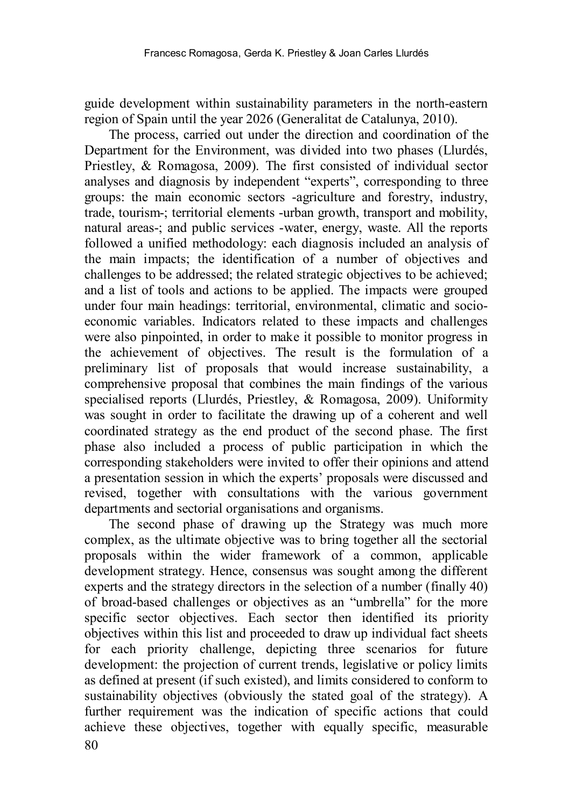guide development within sustainability parameters in the north-eastern region of Spain until the year 2026 (Generalitat de Catalunya, 2010).

The process, carried out under the direction and coordination of the Department for the Environment, was divided into two phases (Llurdés, Priestley, & Romagosa, 2009). The first consisted of individual sector analyses and diagnosis by independent "experts", corresponding to three groups: the main economic sectors -agriculture and forestry, industry, trade, tourism-; territorial elements -urban growth, transport and mobility, natural areas-; and public services -water, energy, waste. All the reports followed a unified methodology: each diagnosis included an analysis of the main impacts; the identification of a number of objectives and challenges to be addressed; the related strategic objectives to be achieved; and a list of tools and actions to be applied. The impacts were grouped under four main headings: territorial, environmental, climatic and socioeconomic variables. Indicators related to these impacts and challenges were also pinpointed, in order to make it possible to monitor progress in the achievement of objectives. The result is the formulation of a preliminary list of proposals that would increase sustainability, a comprehensive proposal that combines the main findings of the various specialised reports (Llurdés, Priestley, & Romagosa, 2009). Uniformity was sought in order to facilitate the drawing up of a coherent and well coordinated strategy as the end product of the second phase. The first phase also included a process of public participation in which the corresponding stakeholders were invited to offer their opinions and attend a presentation session in which the experts' proposals were discussed and revised, together with consultations with the various government departments and sectorial organisations and organisms.

80 The second phase of drawing up the Strategy was much more complex, as the ultimate objective was to bring together all the sectorial proposals within the wider framework of a common, applicable development strategy. Hence, consensus was sought among the different experts and the strategy directors in the selection of a number (finally 40) of broad-based challenges or objectives as an "umbrella" for the more specific sector objectives. Each sector then identified its priority objectives within this list and proceeded to draw up individual fact sheets for each priority challenge, depicting three scenarios for future development: the projection of current trends, legislative or policy limits as defined at present (if such existed), and limits considered to conform to sustainability objectives (obviously the stated goal of the strategy). A further requirement was the indication of specific actions that could achieve these objectives, together with equally specific, measurable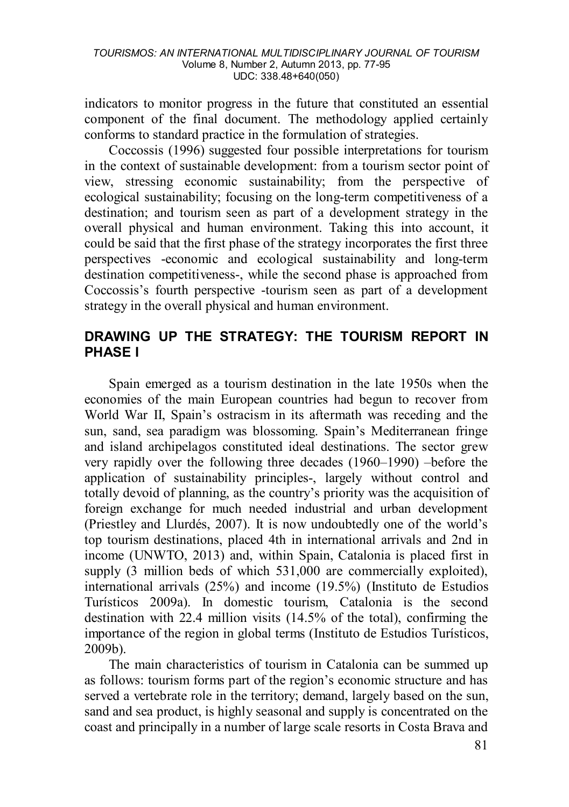indicators to monitor progress in the future that constituted an essential component of the final document. The methodology applied certainly conforms to standard practice in the formulation of strategies.

Coccossis (1996) suggested four possible interpretations for tourism in the context of sustainable development: from a tourism sector point of view, stressing economic sustainability; from the perspective of ecological sustainability; focusing on the long-term competitiveness of a destination; and tourism seen as part of a development strategy in the overall physical and human environment. Taking this into account, it could be said that the first phase of the strategy incorporates the first three perspectives -economic and ecological sustainability and long-term destination competitiveness-, while the second phase is approached from Coccossis's fourth perspective -tourism seen as part of a development strategy in the overall physical and human environment.

### **DRAWING UP THE STRATEGY: THE TOURISM REPORT IN PHASE I**

Spain emerged as a tourism destination in the late 1950s when the economies of the main European countries had begun to recover from World War II, Spain's ostracism in its aftermath was receding and the sun, sand, sea paradigm was blossoming. Spain's Mediterranean fringe and island archipelagos constituted ideal destinations. The sector grew very rapidly over the following three decades (1960–1990) –before the application of sustainability principles-, largely without control and totally devoid of planning, as the country's priority was the acquisition of foreign exchange for much needed industrial and urban development (Priestley and Llurdés, 2007). It is now undoubtedly one of the world's top tourism destinations, placed 4th in international arrivals and 2nd in income (UNWTO, 2013) and, within Spain, Catalonia is placed first in supply (3 million beds of which 531,000 are commercially exploited). international arrivals (25%) and income (19.5%) (Instituto de Estudios Turísticos 2009a). In domestic tourism, Catalonia is the second destination with 22.4 million visits (14.5% of the total), confirming the importance of the region in global terms (Instituto de Estudios Turísticos, 2009b).

The main characteristics of tourism in Catalonia can be summed up as follows: tourism forms part of the region's economic structure and has served a vertebrate role in the territory; demand, largely based on the sun, sand and sea product, is highly seasonal and supply is concentrated on the coast and principally in a number of large scale resorts in Costa Brava and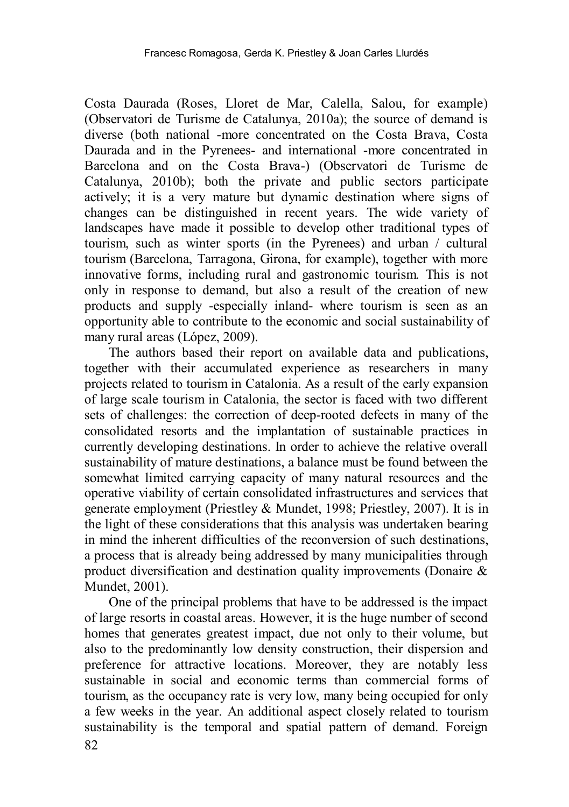Costa Daurada (Roses, Lloret de Mar, Calella, Salou, for example) (Observatori de Turisme de Catalunya, 2010a); the source of demand is diverse (both national -more concentrated on the Costa Brava, Costa Daurada and in the Pyrenees- and international -more concentrated in Barcelona and on the Costa Brava-) (Observatori de Turisme de Catalunya, 2010b); both the private and public sectors participate actively; it is a very mature but dynamic destination where signs of changes can be distinguished in recent years. The wide variety of landscapes have made it possible to develop other traditional types of tourism, such as winter sports (in the Pyrenees) and urban / cultural tourism (Barcelona, Tarragona, Girona, for example), together with more innovative forms, including rural and gastronomic tourism. This is not only in response to demand, but also a result of the creation of new products and supply -especially inland- where tourism is seen as an opportunity able to contribute to the economic and social sustainability of many rural areas (López, 2009).

The authors based their report on available data and publications, together with their accumulated experience as researchers in many projects related to tourism in Catalonia. As a result of the early expansion of large scale tourism in Catalonia, the sector is faced with two different sets of challenges: the correction of deep-rooted defects in many of the consolidated resorts and the implantation of sustainable practices in currently developing destinations. In order to achieve the relative overall sustainability of mature destinations, a balance must be found between the somewhat limited carrying capacity of many natural resources and the operative viability of certain consolidated infrastructures and services that generate employment (Priestley & Mundet, 1998; Priestley, 2007). It is in the light of these considerations that this analysis was undertaken bearing in mind the inherent difficulties of the reconversion of such destinations, a process that is already being addressed by many municipalities through product diversification and destination quality improvements (Donaire & Mundet, 2001).

One of the principal problems that have to be addressed is the impact of large resorts in coastal areas. However, it is the huge number of second homes that generates greatest impact, due not only to their volume, but also to the predominantly low density construction, their dispersion and preference for attractive locations. Moreover, they are notably less sustainable in social and economic terms than commercial forms of tourism, as the occupancy rate is very low, many being occupied for only a few weeks in the year. An additional aspect closely related to tourism sustainability is the temporal and spatial pattern of demand. Foreign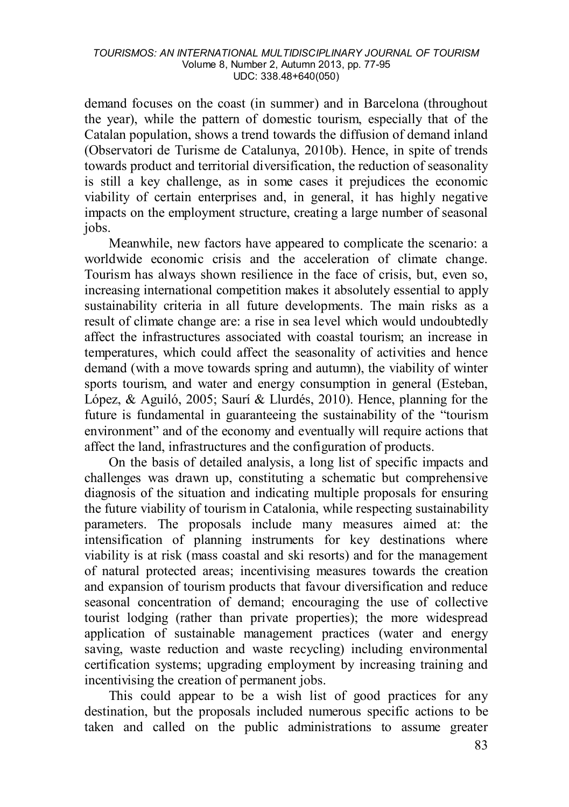demand focuses on the coast (in summer) and in Barcelona (throughout the year), while the pattern of domestic tourism, especially that of the Catalan population, shows a trend towards the diffusion of demand inland (Observatori de Turisme de Catalunya, 2010b). Hence, in spite of trends towards product and territorial diversification, the reduction of seasonality is still a key challenge, as in some cases it prejudices the economic viability of certain enterprises and, in general, it has highly negative impacts on the employment structure, creating a large number of seasonal jobs.

Meanwhile, new factors have appeared to complicate the scenario: a worldwide economic crisis and the acceleration of climate change. Tourism has always shown resilience in the face of crisis, but, even so, increasing international competition makes it absolutely essential to apply sustainability criteria in all future developments. The main risks as a result of climate change are: a rise in sea level which would undoubtedly affect the infrastructures associated with coastal tourism; an increase in temperatures, which could affect the seasonality of activities and hence demand (with a move towards spring and autumn), the viability of winter sports tourism, and water and energy consumption in general (Esteban, López, & Aguiló, 2005; Saurí & Llurdés, 2010). Hence, planning for the future is fundamental in guaranteeing the sustainability of the "tourism environment" and of the economy and eventually will require actions that affect the land, infrastructures and the configuration of products.

On the basis of detailed analysis, a long list of specific impacts and challenges was drawn up, constituting a schematic but comprehensive diagnosis of the situation and indicating multiple proposals for ensuring the future viability of tourism in Catalonia, while respecting sustainability parameters. The proposals include many measures aimed at: the intensification of planning instruments for key destinations where viability is at risk (mass coastal and ski resorts) and for the management of natural protected areas; incentivising measures towards the creation and expansion of tourism products that favour diversification and reduce seasonal concentration of demand; encouraging the use of collective tourist lodging (rather than private properties); the more widespread application of sustainable management practices (water and energy saving, waste reduction and waste recycling) including environmental certification systems; upgrading employment by increasing training and incentivising the creation of permanent jobs.

This could appear to be a wish list of good practices for any destination, but the proposals included numerous specific actions to be taken and called on the public administrations to assume greater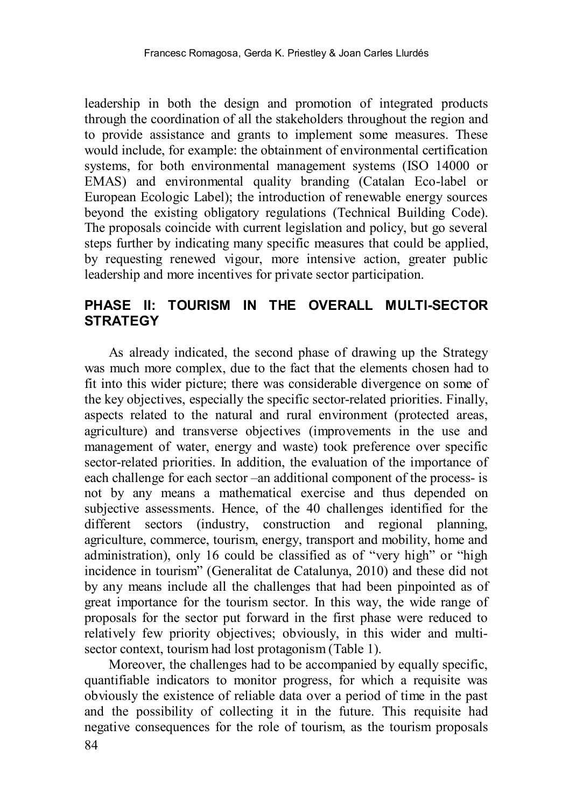leadership in both the design and promotion of integrated products through the coordination of all the stakeholders throughout the region and to provide assistance and grants to implement some measures. These would include, for example: the obtainment of environmental certification systems, for both environmental management systems (ISO 14000 or EMAS) and environmental quality branding (Catalan Eco-label or European Ecologic Label); the introduction of renewable energy sources beyond the existing obligatory regulations (Technical Building Code). The proposals coincide with current legislation and policy, but go several steps further by indicating many specific measures that could be applied, by requesting renewed vigour, more intensive action, greater public leadership and more incentives for private sector participation.

### **PHASE II: TOURISM IN THE OVERALL MULTI-SECTOR STRATEGY**

As already indicated, the second phase of drawing up the Strategy was much more complex, due to the fact that the elements chosen had to fit into this wider picture; there was considerable divergence on some of the key objectives, especially the specific sector-related priorities. Finally, aspects related to the natural and rural environment (protected areas, agriculture) and transverse objectives (improvements in the use and management of water, energy and waste) took preference over specific sector-related priorities. In addition, the evaluation of the importance of each challenge for each sector –an additional component of the process- is not by any means a mathematical exercise and thus depended on subjective assessments. Hence, of the 40 challenges identified for the different sectors (industry, construction and regional planning, agriculture, commerce, tourism, energy, transport and mobility, home and administration), only 16 could be classified as of "very high" or "high incidence in tourism" (Generalitat de Catalunya, 2010) and these did not by any means include all the challenges that had been pinpointed as of great importance for the tourism sector. In this way, the wide range of proposals for the sector put forward in the first phase were reduced to relatively few priority objectives; obviously, in this wider and multisector context, tourism had lost protagonism (Table 1).

84 Moreover, the challenges had to be accompanied by equally specific, quantifiable indicators to monitor progress, for which a requisite was obviously the existence of reliable data over a period of time in the past and the possibility of collecting it in the future. This requisite had negative consequences for the role of tourism, as the tourism proposals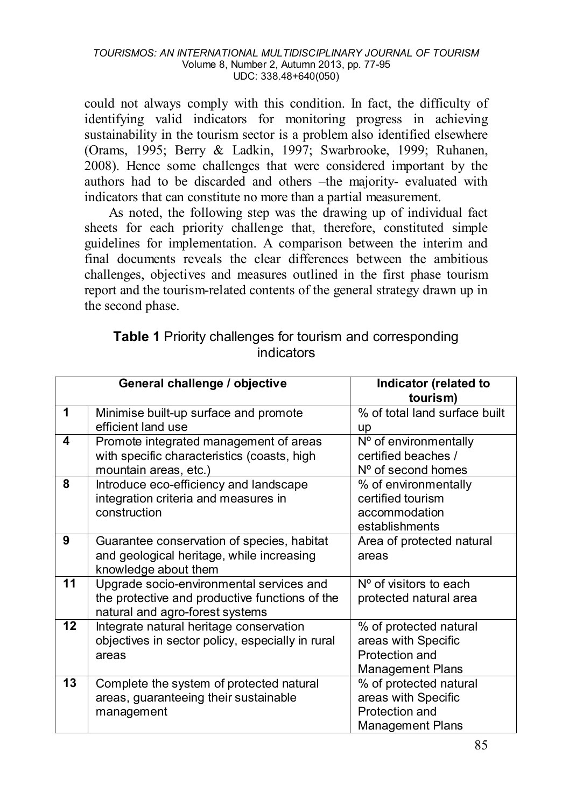could not always comply with this condition. In fact, the difficulty of identifying valid indicators for monitoring progress in achieving sustainability in the tourism sector is a problem also identified elsewhere (Orams, 1995; Berry & Ladkin, 1997; Swarbrooke, 1999; Ruhanen, 2008). Hence some challenges that were considered important by the authors had to be discarded and others –the majority- evaluated with indicators that can constitute no more than a partial measurement.

As noted, the following step was the drawing up of individual fact sheets for each priority challenge that, therefore, constituted simple guidelines for implementation. A comparison between the interim and final documents reveals the clear differences between the ambitious challenges, objectives and measures outlined in the first phase tourism report and the tourism-related contents of the general strategy drawn up in the second phase.

|    | General challenge / objective                                                                                                 | Indicator (related to<br>tourism)                                                          |
|----|-------------------------------------------------------------------------------------------------------------------------------|--------------------------------------------------------------------------------------------|
| 1  | Minimise built-up surface and promote<br>efficient land use                                                                   | % of total land surface built<br>up                                                        |
| 4  | Promote integrated management of areas<br>with specific characteristics (coasts, high<br>mountain areas, etc.)                | Nº of environmentally<br>certified beaches /<br>N° of second homes                         |
| 8  | Introduce eco-efficiency and landscape<br>integration criteria and measures in<br>construction                                | % of environmentally<br>certified tourism<br>accommodation<br>establishments               |
| 9  | Guarantee conservation of species, habitat<br>and geological heritage, while increasing<br>knowledge about them               | Area of protected natural<br>areas                                                         |
| 11 | Upgrade socio-environmental services and<br>the protective and productive functions of the<br>natural and agro-forest systems | $No$ of visitors to each<br>protected natural area                                         |
| 12 | Integrate natural heritage conservation<br>objectives in sector policy, especially in rural<br>areas                          | % of protected natural<br>areas with Specific<br>Protection and<br>Management Plans        |
| 13 | Complete the system of protected natural<br>areas, guaranteeing their sustainable<br>management                               | % of protected natural<br>areas with Specific<br>Protection and<br><b>Management Plans</b> |

### **Table 1** Priority challenges for tourism and corresponding indicators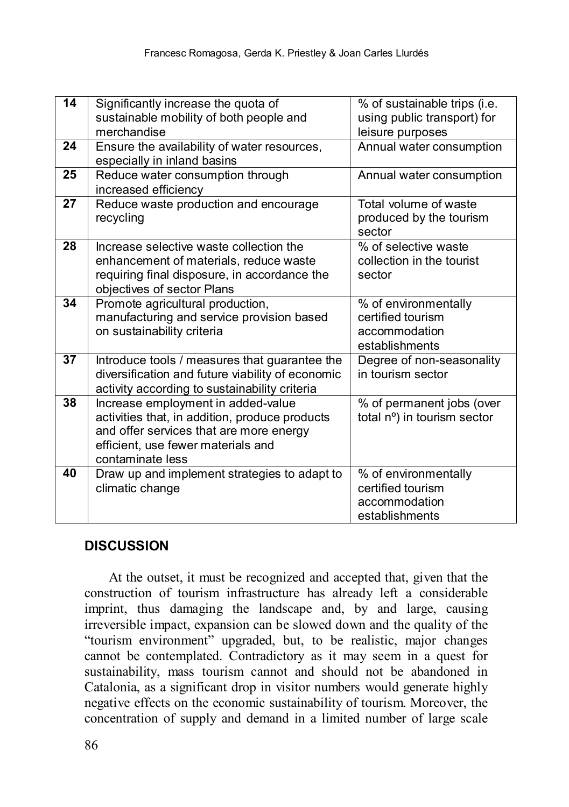| 14 | Significantly increase the quota of<br>sustainable mobility of both people and<br>merchandise                                                                                             | % of sustainable trips (i.e.<br>using public transport) for<br>leisure purposes |
|----|-------------------------------------------------------------------------------------------------------------------------------------------------------------------------------------------|---------------------------------------------------------------------------------|
| 24 | Ensure the availability of water resources,<br>especially in inland basins                                                                                                                | Annual water consumption                                                        |
| 25 | Reduce water consumption through<br>increased efficiency                                                                                                                                  | Annual water consumption                                                        |
| 27 | Reduce waste production and encourage<br>recycling                                                                                                                                        | Total volume of waste<br>produced by the tourism<br>sector                      |
| 28 | Increase selective waste collection the<br>enhancement of materials, reduce waste<br>requiring final disposure, in accordance the<br>objectives of sector Plans                           | % of selective waste<br>collection in the tourist<br>sector                     |
| 34 | Promote agricultural production,<br>manufacturing and service provision based<br>on sustainability criteria                                                                               | % of environmentally<br>certified tourism<br>accommodation<br>establishments    |
| 37 | Introduce tools / measures that guarantee the<br>diversification and future viability of economic<br>activity according to sustainability criteria                                        | Degree of non-seasonality<br>in tourism sector                                  |
| 38 | Increase employment in added-value<br>activities that, in addition, produce products<br>and offer services that are more energy<br>efficient, use fewer materials and<br>contaminate less | % of permanent jobs (over<br>total nº) in tourism sector                        |
| 40 | Draw up and implement strategies to adapt to<br>climatic change                                                                                                                           | % of environmentally<br>certified tourism<br>accommodation<br>establishments    |

### **DISCUSSION**

At the outset, it must be recognized and accepted that, given that the construction of tourism infrastructure has already left a considerable imprint, thus damaging the landscape and, by and large, causing irreversible impact, expansion can be slowed down and the quality of the "tourism environment" upgraded, but, to be realistic, major changes cannot be contemplated. Contradictory as it may seem in a quest for sustainability, mass tourism cannot and should not be abandoned in Catalonia, as a significant drop in visitor numbers would generate highly negative effects on the economic sustainability of tourism. Moreover, the concentration of supply and demand in a limited number of large scale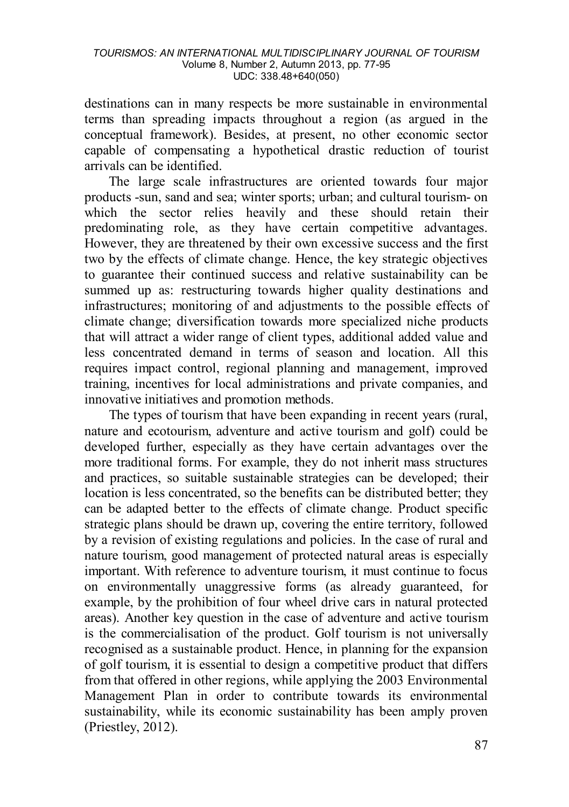destinations can in many respects be more sustainable in environmental terms than spreading impacts throughout a region (as argued in the conceptual framework). Besides, at present, no other economic sector capable of compensating a hypothetical drastic reduction of tourist arrivals can be identified.

The large scale infrastructures are oriented towards four major products -sun, sand and sea; winter sports; urban; and cultural tourism- on which the sector relies heavily and these should retain their predominating role, as they have certain competitive advantages. However, they are threatened by their own excessive success and the first two by the effects of climate change. Hence, the key strategic objectives to guarantee their continued success and relative sustainability can be summed up as: restructuring towards higher quality destinations and infrastructures; monitoring of and adjustments to the possible effects of climate change; diversification towards more specialized niche products that will attract a wider range of client types, additional added value and less concentrated demand in terms of season and location. All this requires impact control, regional planning and management, improved training, incentives for local administrations and private companies, and innovative initiatives and promotion methods.

The types of tourism that have been expanding in recent years (rural, nature and ecotourism, adventure and active tourism and golf) could be developed further, especially as they have certain advantages over the more traditional forms. For example, they do not inherit mass structures and practices, so suitable sustainable strategies can be developed; their location is less concentrated, so the benefits can be distributed better; they can be adapted better to the effects of climate change. Product specific strategic plans should be drawn up, covering the entire territory, followed by a revision of existing regulations and policies. In the case of rural and nature tourism, good management of protected natural areas is especially important. With reference to adventure tourism, it must continue to focus on environmentally unaggressive forms (as already guaranteed, for example, by the prohibition of four wheel drive cars in natural protected areas). Another key question in the case of adventure and active tourism is the commercialisation of the product. Golf tourism is not universally recognised as a sustainable product. Hence, in planning for the expansion of golf tourism, it is essential to design a competitive product that differs from that offered in other regions, while applying the 2003 Environmental Management Plan in order to contribute towards its environmental sustainability, while its economic sustainability has been amply proven (Priestley, 2012).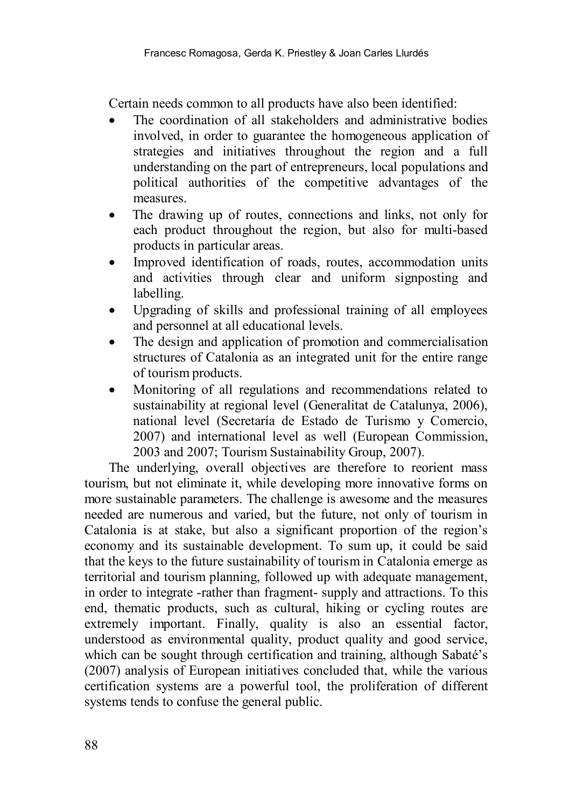Certain needs common to all products have also been identified:

- The coordination of all stakeholders and administrative bodies involved, in order to guarantee the homogeneous application of strategies and initiatives throughout the region and a full understanding on the part of entrepreneurs, local populations and political authorities of the competitive advantages of the measures.
- The drawing up of routes, connections and links, not only for each product throughout the region, but also for multi-based products in particular areas.
- Improved identification of roads, routes, accommodation units and activities through clear and uniform signposting and labelling.
- Upgrading of skills and professional training of all employees and personnel at all educational levels.
- The design and application of promotion and commercialisation structures of Catalonia as an integrated unit for the entire range of tourism products.
- Monitoring of all regulations and recommendations related to sustainability at regional level (Generalitat de Catalunya, 2006), national level (Secretaría de Estado de Turismo y Comercio, 2007) and international level as well (European Commission, 2003 and 2007; Tourism Sustainability Group, 2007).

The underlying, overall objectives are therefore to reorient mass tourism, but not eliminate it, while developing more innovative forms on more sustainable parameters. The challenge is awesome and the measures needed are numerous and varied, but the future, not only of tourism in Catalonia is at stake, but also a significant proportion of the region's economy and its sustainable development. To sum up, it could be said that the keys to the future sustainability of tourism in Catalonia emerge as territorial and tourism planning, followed up with adequate management, in order to integrate -rather than fragment- supply and attractions. To this end, thematic products, such as cultural, hiking or cycling routes are extremely important. Finally, quality is also an essential factor, understood as environmental quality, product quality and good service, which can be sought through certification and training, although Sabaté's (2007) analysis of European initiatives concluded that, while the various certification systems are a powerful tool, the proliferation of different systems tends to confuse the general public.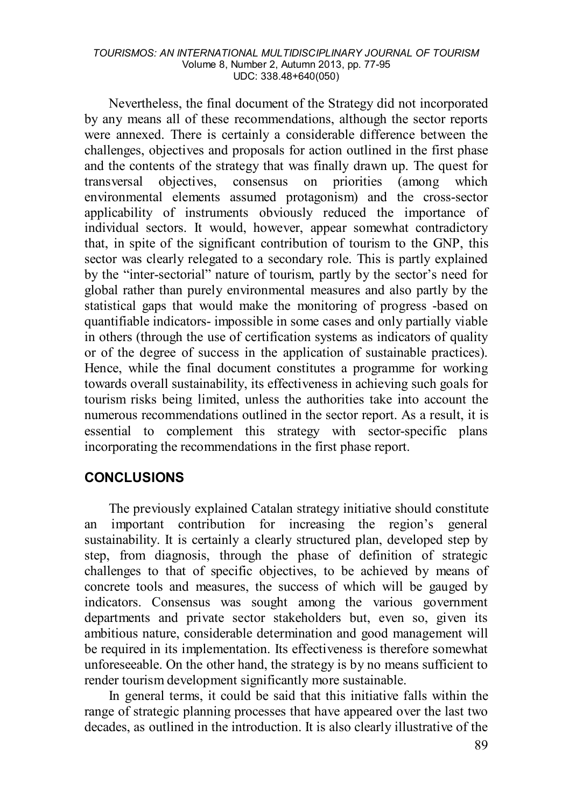Nevertheless, the final document of the Strategy did not incorporated by any means all of these recommendations, although the sector reports were annexed. There is certainly a considerable difference between the challenges, objectives and proposals for action outlined in the first phase and the contents of the strategy that was finally drawn up. The quest for transversal objectives, consensus on priorities (among which environmental elements assumed protagonism) and the cross-sector applicability of instruments obviously reduced the importance of individual sectors. It would, however, appear somewhat contradictory that, in spite of the significant contribution of tourism to the GNP, this sector was clearly relegated to a secondary role. This is partly explained by the "inter-sectorial" nature of tourism, partly by the sector's need for global rather than purely environmental measures and also partly by the statistical gaps that would make the monitoring of progress -based on quantifiable indicators- impossible in some cases and only partially viable in others (through the use of certification systems as indicators of quality or of the degree of success in the application of sustainable practices). Hence, while the final document constitutes a programme for working towards overall sustainability, its effectiveness in achieving such goals for tourism risks being limited, unless the authorities take into account the numerous recommendations outlined in the sector report. As a result, it is essential to complement this strategy with sector-specific plans incorporating the recommendations in the first phase report.

#### **CONCLUSIONS**

The previously explained Catalan strategy initiative should constitute an important contribution for increasing the region's general sustainability. It is certainly a clearly structured plan, developed step by step, from diagnosis, through the phase of definition of strategic challenges to that of specific objectives, to be achieved by means of concrete tools and measures, the success of which will be gauged by indicators. Consensus was sought among the various government departments and private sector stakeholders but, even so, given its ambitious nature, considerable determination and good management will be required in its implementation. Its effectiveness is therefore somewhat unforeseeable. On the other hand, the strategy is by no means sufficient to render tourism development significantly more sustainable.

In general terms, it could be said that this initiative falls within the range of strategic planning processes that have appeared over the last two decades, as outlined in the introduction. It is also clearly illustrative of the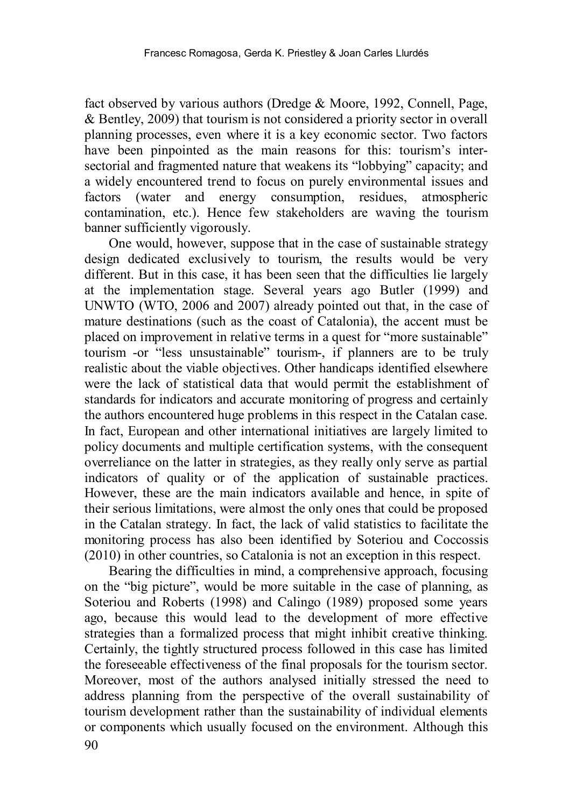fact observed by various authors (Dredge & Moore, 1992, Connell, Page, & Bentley, 2009) that tourism is not considered a priority sector in overall planning processes, even where it is a key economic sector. Two factors have been pinpointed as the main reasons for this: tourism's intersectorial and fragmented nature that weakens its "lobbying" capacity; and a widely encountered trend to focus on purely environmental issues and factors (water and energy consumption, residues, atmospheric contamination, etc.). Hence few stakeholders are waving the tourism banner sufficiently vigorously.

One would, however, suppose that in the case of sustainable strategy design dedicated exclusively to tourism, the results would be very different. But in this case, it has been seen that the difficulties lie largely at the implementation stage. Several years ago Butler (1999) and UNWTO (WTO, 2006 and 2007) already pointed out that, in the case of mature destinations (such as the coast of Catalonia), the accent must be placed on improvement in relative terms in a quest for "more sustainable" tourism -or "less unsustainable" tourism-, if planners are to be truly realistic about the viable objectives. Other handicaps identified elsewhere were the lack of statistical data that would permit the establishment of standards for indicators and accurate monitoring of progress and certainly the authors encountered huge problems in this respect in the Catalan case. In fact, European and other international initiatives are largely limited to policy documents and multiple certification systems, with the consequent overreliance on the latter in strategies, as they really only serve as partial indicators of quality or of the application of sustainable practices. However, these are the main indicators available and hence, in spite of their serious limitations, were almost the only ones that could be proposed in the Catalan strategy. In fact, the lack of valid statistics to facilitate the monitoring process has also been identified by Soteriou and Coccossis (2010) in other countries, so Catalonia is not an exception in this respect.

90 Bearing the difficulties in mind, a comprehensive approach, focusing on the "big picture", would be more suitable in the case of planning, as Soteriou and Roberts (1998) and Calingo (1989) proposed some years ago, because this would lead to the development of more effective strategies than a formalized process that might inhibit creative thinking. Certainly, the tightly structured process followed in this case has limited the foreseeable effectiveness of the final proposals for the tourism sector. Moreover, most of the authors analysed initially stressed the need to address planning from the perspective of the overall sustainability of tourism development rather than the sustainability of individual elements or components which usually focused on the environment. Although this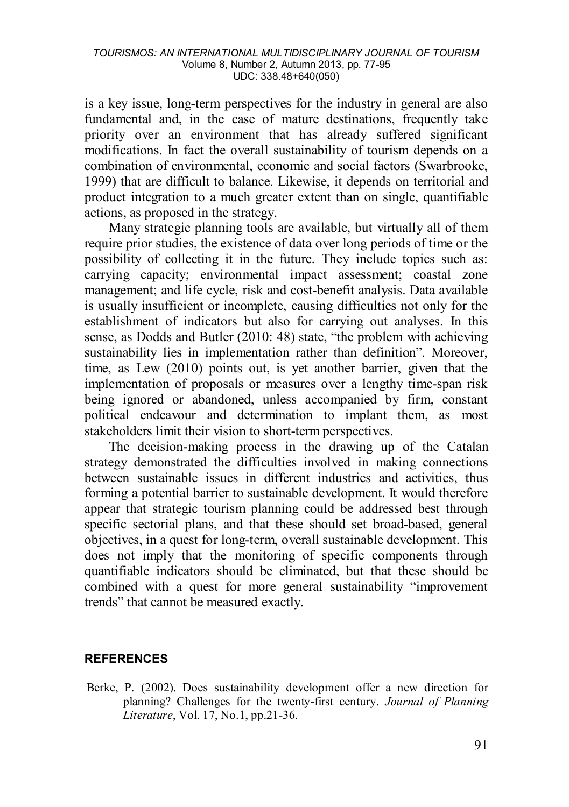is a key issue, long-term perspectives for the industry in general are also fundamental and, in the case of mature destinations, frequently take priority over an environment that has already suffered significant modifications. In fact the overall sustainability of tourism depends on a combination of environmental, economic and social factors (Swarbrooke, 1999) that are difficult to balance. Likewise, it depends on territorial and product integration to a much greater extent than on single, quantifiable actions, as proposed in the strategy.

Many strategic planning tools are available, but virtually all of them require prior studies, the existence of data over long periods of time or the possibility of collecting it in the future. They include topics such as: carrying capacity; environmental impact assessment; coastal zone management; and life cycle, risk and cost-benefit analysis. Data available is usually insufficient or incomplete, causing difficulties not only for the establishment of indicators but also for carrying out analyses. In this sense, as Dodds and Butler (2010: 48) state, "the problem with achieving sustainability lies in implementation rather than definition". Moreover, time, as Lew (2010) points out, is yet another barrier, given that the implementation of proposals or measures over a lengthy time-span risk being ignored or abandoned, unless accompanied by firm, constant political endeavour and determination to implant them, as most stakeholders limit their vision to short-term perspectives.

The decision-making process in the drawing up of the Catalan strategy demonstrated the difficulties involved in making connections between sustainable issues in different industries and activities, thus forming a potential barrier to sustainable development. It would therefore appear that strategic tourism planning could be addressed best through specific sectorial plans, and that these should set broad-based, general objectives, in a quest for long-term, overall sustainable development. This does not imply that the monitoring of specific components through quantifiable indicators should be eliminated, but that these should be combined with a quest for more general sustainability "improvement trends" that cannot be measured exactly.

#### **REFERENCES**

Berke, P. (2002). Does sustainability development offer a new direction for planning? Challenges for the twenty-first century. *Journal of Planning Literature*, Vol. 17, No.1, pp.21-36.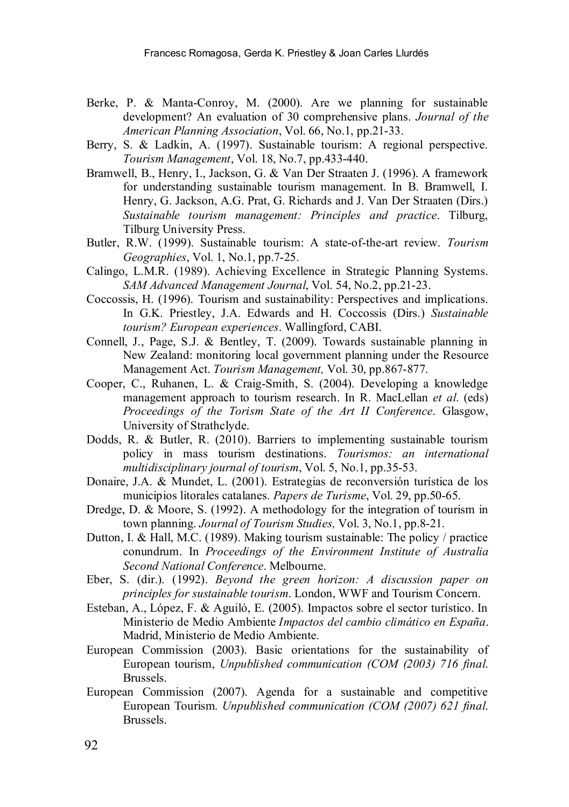- Berke, P. & Manta-Conroy, M. (2000). Are we planning for sustainable development? An evaluation of 30 comprehensive plans. *Journal of the American Planning Association*, Vol. 66, No.1, pp.21-33.
- Berry, S. & Ladkin, A. (1997). Sustainable tourism: A regional perspective. *Tourism Management*, Vol. 18, No.7, pp.433-440.
- Bramwell, B., Henry, I., Jackson, G. & Van Der Straaten J. (1996). A framework for understanding sustainable tourism management. In B. Bramwell, I. Henry, G. Jackson, A.G. Prat, G. Richards and J. Van Der Straaten (Dirs.) *Sustainable tourism management: Principles and practice*. Tilburg, Tilburg University Press.
- Butler, R.W. (1999). Sustainable tourism: A state-of-the-art review. *Tourism Geographies*, Vol. 1, No.1, pp.7-25.
- Calingo, L.M.R. (1989). Achieving Excellence in Strategic Planning Systems. *SAM Advanced Management Journal*, Vol. 54, No.2, pp.21-23.
- Coccossis, H. (1996). Tourism and sustainability: Perspectives and implications. In G.K. Priestley, J.A. Edwards and H. Coccossis (Dirs.) *Sustainable tourism? European experiences*. Wallingford, CABI.
- Connell, J., Page, S.J. & Bentley, T. (2009). Towards sustainable planning in New Zealand: monitoring local government planning under the Resource Management Act. *Tourism Management,* Vol. 30, pp.867-877.
- Cooper, C., Ruhanen, L. & Craig-Smith, S. (2004). Developing a knowledge management approach to tourism research. In R. MacLellan *et al*. (eds) *Proceedings of the Torism State of the Art II Conference*. Glasgow, University of Strathclyde.
- Dodds, R. & Butler, R. (2010). Barriers to implementing sustainable tourism policy in mass tourism destinations. *Tourismos: an international multidisciplinary journal of tourism*, Vol. 5, No.1, pp.35-53.
- Donaire, J.A. & Mundet, L. (2001). Estrategias de reconversión turística de los municipios litorales catalanes. *Papers de Turisme*, Vol. 29, pp.50-65.
- Dredge, D. & Moore, S. (1992). A methodology for the integration of tourism in town planning. *Journal of Tourism Studies,* Vol. 3, No.1, pp.8-21.
- Dutton, I. & Hall, M.C. (1989). Making tourism sustainable: The policy / practice conundrum. In *Proceedings of the Environment Institute of Australia Second National Conference*. Melbourne.
- Eber, S. (dir.). (1992). *Beyond the green horizon: A discussion paper on principles for sustainable tourism*. London, WWF and Tourism Concern.
- Esteban, A., López, F. & Aguiló, E. (2005). Impactos sobre el sector turístico. In Ministerio de Medio Ambiente *Impactos del cambio climático en España*. Madrid, Ministerio de Medio Ambiente.
- European Commission (2003). Basic orientations for the sustainability of European tourism, *Unpublished communication (COM (2003) 716 final*. Brussels.
- European Commission (2007). Agenda for a sustainable and competitive European Tourism*. Unpublished communication (COM (2007) 621 final*. Brussels.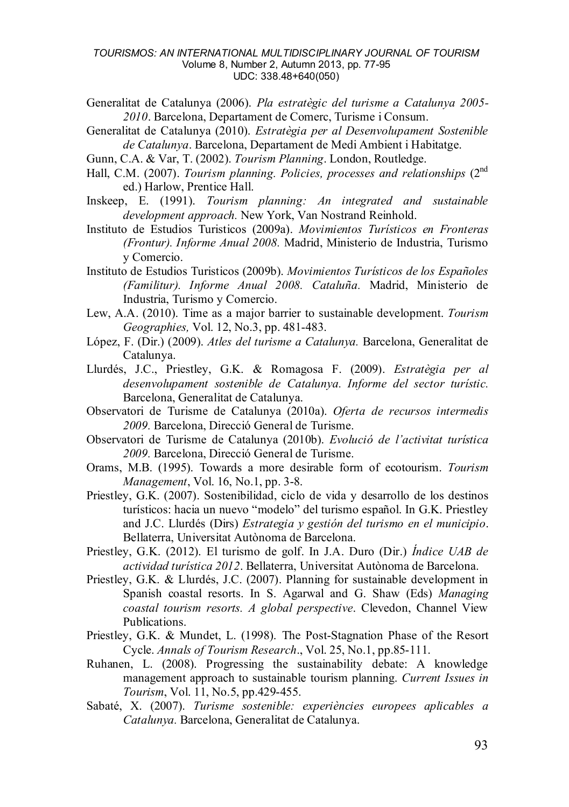- Generalitat de Catalunya (2006). *Pla estratègic del turisme a Catalunya 2005- 2010*. Barcelona, Departament de Comerc, Turisme i Consum.
- Generalitat de Catalunya (2010). *Estratègia per al Desenvolupament Sostenible de Catalunya*. Barcelona, Departament de Medi Ambient i Habitatge.
- Gunn, C.A. & Var, T. (2002). *Tourism Planning*. London, Routledge.
- Hall, C.M. (2007). *Tourism planning. Policies, processes and relationships* (2nd ed.) Harlow, Prentice Hall.
- Inskeep, E. (1991). *Tourism planning: An integrated and sustainable development approach.* New York, Van Nostrand Reinhold.
- Instituto de Estudios Turisticos (2009a). *Movimientos Turísticos en Fronteras (Frontur). Informe Anual 2008.* Madrid, Ministerio de Industria, Turismo y Comercio.
- Instituto de Estudios Turisticos (2009b). *Movimientos Turísticos de los Españoles (Familitur). Informe Anual 2008. Cataluña.* Madrid, Ministerio de Industria, Turismo y Comercio.
- Lew, A.A. (2010). Time as a major barrier to sustainable development. *Tourism Geographies,* Vol. 12, No.3, pp. 481-483.
- López, F. (Dir.) (2009). *Atles del turisme a Catalunya.* Barcelona, Generalitat de Catalunya.
- Llurdés, J.C., Priestley, G.K. & Romagosa F. (2009). *Estratègia per al desenvolupament sostenible de Catalunya. Informe del sector turístic.* Barcelona, Generalitat de Catalunya.
- Observatori de Turisme de Catalunya (2010a). *Oferta de recursos intermedis 2009.* Barcelona, Direcció General de Turisme.
- Observatori de Turisme de Catalunya (2010b). *Evolució de l'activitat turística 2009.* Barcelona, Direcció General de Turisme.
- Orams, M.B. (1995). Towards a more desirable form of ecotourism. *Tourism Management*, Vol. 16, No.1, pp. 3-8.
- Priestley, G.K. (2007). Sostenibilidad, ciclo de vida y desarrollo de los destinos turísticos: hacia un nuevo "modelo" del turismo español. In G.K. Priestley and J.C. Llurdés (Dirs) *Estrategia y gestión del turismo en el municipio*. Bellaterra, Universitat Autònoma de Barcelona.
- Priestley, G.K. (2012). El turismo de golf. In J.A. Duro (Dir.) *Índice UAB de actividad turística 2012*. Bellaterra, Universitat Autònoma de Barcelona.
- Priestley, G.K. & Llurdés, J.C. (2007). Planning for sustainable development in Spanish coastal resorts. In S. Agarwal and G. Shaw (Eds) *Managing coastal tourism resorts. A global perspective*. Clevedon, Channel View Publications.
- Priestley, G.K. & Mundet, L. (1998). The Post-Stagnation Phase of the Resort Cycle. *Annals of Tourism Research*., Vol. 25, No.1, pp.85-111.
- Ruhanen, L. (2008). Progressing the sustainability debate: A knowledge management approach to sustainable tourism planning. *Current Issues in Tourism*, Vol. 11, No.5, pp.429-455.
- Sabaté, X. (2007). *Turisme sostenible: experiències europees aplicables a Catalunya.* Barcelona, Generalitat de Catalunya.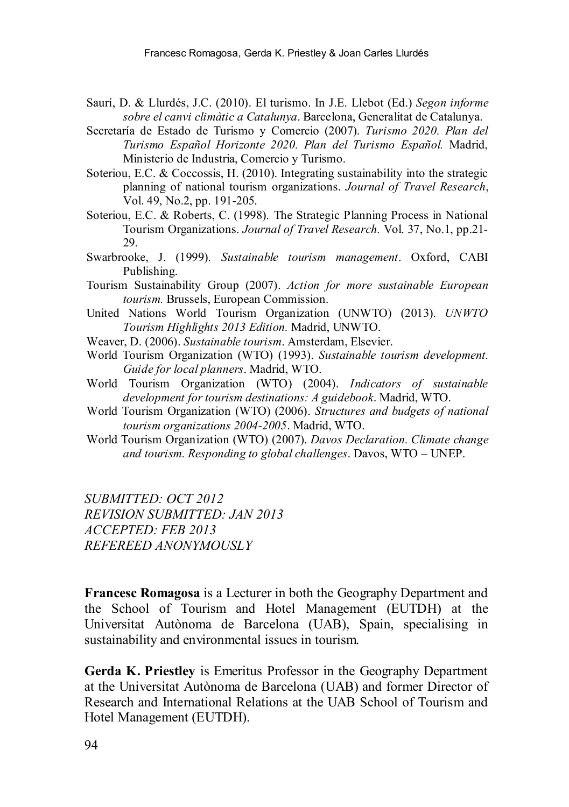- Saurí, D. & Llurdés, J.C. (2010). El turismo. In J.E. Llebot (Ed.) *Segon informe sobre el canvi climàtic a Catalunya*. Barcelona, Generalitat de Catalunya.
- Secretaría de Estado de Turismo y Comercio (2007). *Turismo 2020. Plan del Turismo Español Horizonte 2020. Plan del Turismo Español.* Madrid, Ministerio de Industria, Comercio y Turismo.
- Soteriou, E.C. & Coccossis, H. (2010). Integrating sustainability into the strategic planning of national tourism organizations. *Journal of Travel Research*, Vol. 49, No.2, pp. 191-205.
- Soteriou, E.C. & Roberts, C. (1998). The Strategic Planning Process in National Tourism Organizations. *Journal of Travel Research.* Vol. 37, No.1, pp.21- 29.
- Swarbrooke, J. (1999). *Sustainable tourism management*. Oxford, CABI Publishing.
- Tourism Sustainability Group (2007). *Action for more sustainable European tourism.* Brussels, European Commission.
- United Nations World Tourism Organization (UNWTO) (2013). *UNWTO Tourism Highlights 2013 Edition.* Madrid, UNWTO.
- Weaver, D. (2006). *Sustainable tourism*. Amsterdam, Elsevier.
- World Tourism Organization (WTO) (1993). *Sustainable tourism development. Guide for local planners*. Madrid, WTO.
- World Tourism Organization (WTO) (2004). *Indicators of sustainable development for tourism destinations: A guidebook*. Madrid, WTO.
- World Tourism Organization (WTO) (2006). *Structures and budgets of national tourism organizations 2004-2005*. Madrid, WTO.
- World Tourism Organization (WTO) (2007). *Davos Declaration. Climate change and tourism. Responding to global challenges*. Davos, WTO – UNEP.

*SUBMITTED: OCT 2012 REVISION SUBMITTED: JAN 2013 ACCEPTED: FEB 2013 REFEREED ANONYMOUSLY*

**Francesc Romagosa** is a Lecturer in both the Geography Department and the School of Tourism and Hotel Management (EUTDH) at the Universitat Autònoma de Barcelona (UAB), Spain, specialising in sustainability and environmental issues in tourism.

**Gerda K. Priestley** is Emeritus Professor in the Geography Department at the Universitat Autònoma de Barcelona (UAB) and former Director of Research and International Relations at the UAB School of Tourism and Hotel Management (EUTDH).